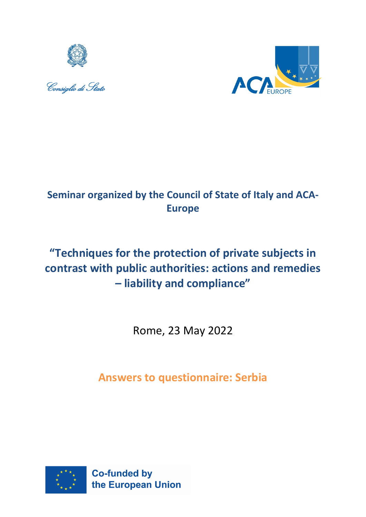





# **Seminar organized by the Council of State of Italy and ACA-Europe**

# **"Techniques for the protection of private subjects in contrast with public authorities: actions and remedies – liability and compliance"**

Rome, 23 May 2022

**Answers to questionnaire: Serbia**

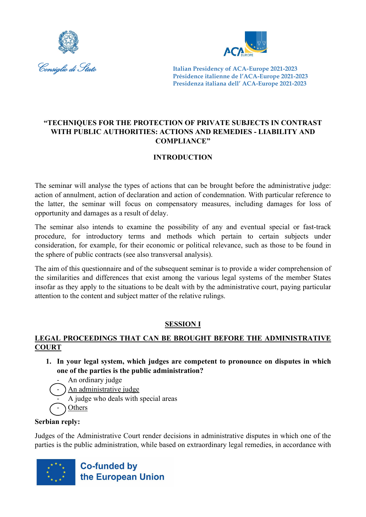



#### **"TECHNIQUES FOR THE PROTECTION OF PRIVATE SUBJECTS IN CONTRAST WITH PUBLIC AUTHORITIES: ACTIONS AND REMEDIES - LIABILITY AND COMPLIANCE"**

## **INTRODUCTION**

The seminar will analyse the types of actions that can be brought before the administrative judge: action of annulment, action of declaration and action of condemnation. With particular reference to the latter, the seminar will focus on compensatory measures, including damages for loss of opportunity and damages as a result of delay.

The seminar also intends to examine the possibility of any and eventual special or fast-track procedure, for introductory terms and methods which pertain to certain subjects under consideration, for example, for their economic or political relevance, such as those to be found in the sphere of public contracts (see also transversal analysis).

The aim of this questionnaire and of the subsequent seminar is to provide a wider comprehension of the similarities and differences that exist among the various legal systems of the member States insofar as they apply to the situations to be dealt with by the administrative court, paying particular attention to the content and subject matter of the relative rulings.

## **SESSION I**

## **LEGAL PROCEEDINGS THAT CAN BE BROUGHT BEFORE THE ADMINISTRATIVE COURT**

- **1. In your legal system, which judges are competent to pronounce on disputes in which one of the parties is the public administration?**
	- An ordinary judge
	- An administrative judge
		- A judge who deals with special areas
- **Others**

## **Serbian reply:**

Judges of the Administrative Court render decisions in administrative disputes in which one of the parties is the public administration, while based on extraordinary legal remedies, in accordance with

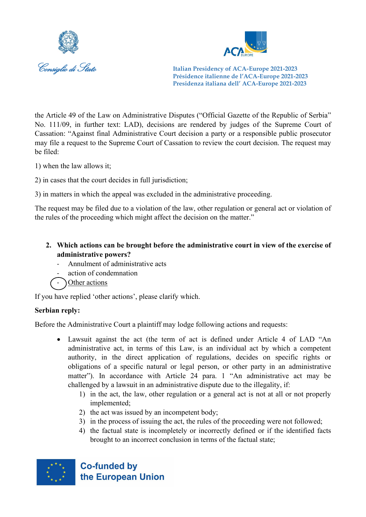



the Article 49 of the Law on Administrative Disputes ("Official Gazette of the Republic of Serbia" No. 111/09, in further text: LAD), decisions are rendered by judges of the Supreme Court of Cassation: "Against final Administrative Court decision a party or a responsible public prosecutor may file a request to the Supreme Court of Cassation to review the court decision. The request may be filed:

- 1) when the law allows it;
- 2) in cases that the court decides in full jurisdiction;
- 3) in matters in which the appeal was excluded in the administrative proceeding.

The request may be filed due to a violation of the law, other regulation or general act or violation of the rules of the proceeding which might affect the decision on the matter."

- **2. Which actions can be brought before the administrative court in view of the exercise of administrative powers?**
	- Annulment of administrative acts
	- action of condemnation
	- Other actions

If you have replied 'other actions', please clarify which.

#### **Serbian reply:**

Before the Administrative Court a plaintiff may lodge following actions and requests:

- Lawsuit against the act (the term of act is defined under Article 4 of LAD "An administrative act, in terms of this Law, is an individual act by which a competent authority, in the direct application of regulations, decides on specific rights or obligations of a specific natural or legal person, or other party in an administrative matter"). In accordance with Article 24 para. 1 "An administrative act may be challenged by a lawsuit in an administrative dispute due to the illegality, if:
	- 1) in the act, the law, other regulation or a general act is not at all or not properly implemented;
	- 2) the act was issued by an incompetent body;
	- 3) in the process of issuing the act, the rules of the proceeding were not followed;
	- 4) the factual state is incompletely or incorrectly defined or if the identified facts brought to an incorrect conclusion in terms of the factual state;

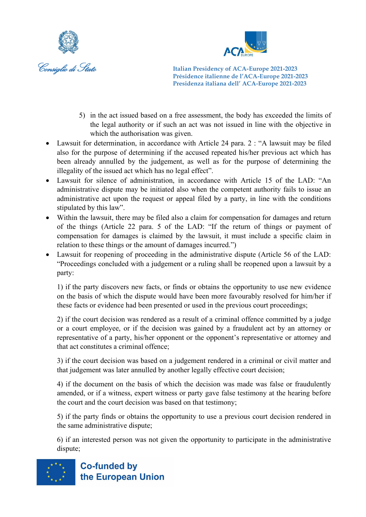



- 5) in the act issued based on a free assessment, the body has exceeded the limits of the legal authority or if such an act was not issued in line with the objective in which the authorisation was given.
- Lawsuit for determination, in accordance with Article 24 para. 2 : "A lawsuit may be filed also for the purpose of determining if the accused repeated his/her previous act which has been already annulled by the judgement, as well as for the purpose of determining the illegality of the issued act which has no legal effect".
- Lawsuit for silence of administration, in accordance with Article 15 of the LAD: "An administrative dispute may be initiated also when the competent authority fails to issue an administrative act upon the request or appeal filed by a party, in line with the conditions stipulated by this law".
- Within the lawsuit, there may be filed also a claim for compensation for damages and return of the things (Article 22 para. 5 of the LAD: "If the return of things or payment of compensation for damages is claimed by the lawsuit, it must include a specific claim in relation to these things or the amount of damages incurred.")
- Lawsuit for reopening of proceeding in the administrative dispute (Article 56 of the LAD: "Proceedings concluded with a judgement or a ruling shall be reopened upon a lawsuit by a party:

1) if the party discovers new facts, or finds or obtains the opportunity to use new evidence on the basis of which the dispute would have been more favourably resolved for him/her if these facts or evidence had been presented or used in the previous court proceedings;

2) if the court decision was rendered as a result of a criminal offence committed by a judge or a court employee, or if the decision was gained by a fraudulent act by an attorney or representative of a party, his/her opponent or the opponent's representative or attorney and that act constitutes a criminal offence;

3) if the court decision was based on a judgement rendered in a criminal or civil matter and that judgement was later annulled by another legally effective court decision;

4) if the document on the basis of which the decision was made was false or fraudulently amended, or if a witness, expert witness or party gave false testimony at the hearing before the court and the court decision was based on that testimony;

5) if the party finds or obtains the opportunity to use a previous court decision rendered in the same administrative dispute;

6) if an interested person was not given the opportunity to participate in the administrative dispute;

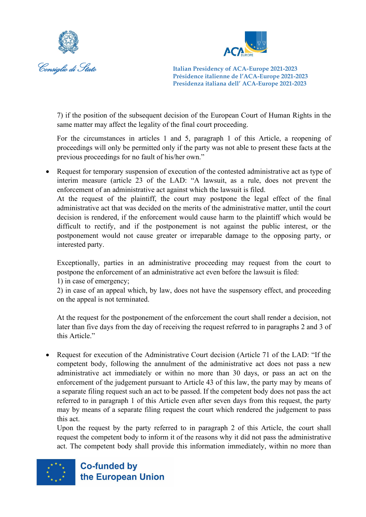



7) if the position of the subsequent decision of the European Court of Human Rights in the same matter may affect the legality of the final court proceeding.

For the circumstances in articles 1 and 5, paragraph 1 of this Article, a reopening of proceedings will only be permitted only if the party was not able to present these facts at the previous proceedings for no fault of his/her own."

• Request for temporary suspension of execution of the contested administrative act as type of interim measure (article 23 of the LAD: "A lawsuit, as a rule, does not prevent the enforcement of an administrative act against which the lawsuit is filed.

At the request of the plaintiff, the court may postpone the legal effect of the final administrative act that was decided on the merits of the administrative matter, until the court decision is rendered, if the enforcement would cause harm to the plaintiff which would be difficult to rectify, and if the postponement is not against the public interest, or the postponement would not cause greater or irreparable damage to the opposing party, or interested party.

Exceptionally, parties in an administrative proceeding may request from the court to postpone the enforcement of an administrative act even before the lawsuit is filed:

1) in case of emergency;

2) in case of an appeal which, by law, does not have the suspensory effect, and proceeding on the appeal is not terminated.

At the request for the postponement of the enforcement the court shall render a decision, not later than five days from the day of receiving the request referred to in paragraphs 2 and 3 of this Article."

• Request for execution of the Administrative Court decision (Article 71 of the LAD: "If the competent body, following the annulment of the administrative act does not pass a new administrative act immediately or within no more than 30 days, or pass an act on the enforcement of the judgement pursuant to Article 43 of this law, the party may by means of a separate filing request such an act to be passed. If the competent body does not pass the act referred to in paragraph 1 of this Article even after seven days from this request, the party may by means of a separate filing request the court which rendered the judgement to pass this act.

Upon the request by the party referred to in paragraph 2 of this Article, the court shall request the competent body to inform it of the reasons why it did not pass the administrative act. The competent body shall provide this information immediately, within no more than

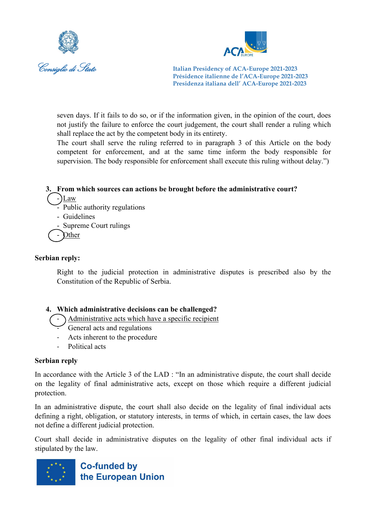



seven days. If it fails to do so, or if the information given, in the opinion of the court, does not justify the failure to enforce the court judgement, the court shall render a ruling which shall replace the act by the competent body in its entirety.

The court shall serve the ruling referred to in paragraph 3 of this Article on the body competent for enforcement, and at the same time inform the body responsible for supervision. The body responsible for enforcement shall execute this ruling without delay.")

#### **3. From which sources can actions be brought before the administrative court?**

- $-Law$ 
	- Public authority regulations
	- Guidelines
	- Supreme Court rulings

**Other** 

#### **Serbian reply:**

Right to the judicial protection in administrative disputes is prescribed also by the Constitution of the Republic of Serbia.

#### **4. Which administrative decisions can be challenged?**

- Administrative acts which have a specific recipient
	- General acts and regulations
	- Acts inherent to the procedure
	- Political acts

#### **Serbian reply**

In accordance with the Article 3 of the LAD : "In an administrative dispute, the court shall decide on the legality of final administrative acts, except on those which require a different judicial protection.

In an administrative dispute, the court shall also decide on the legality of final individual acts defining a right, obligation, or statutory interests, in terms of which, in certain cases, the law does not define a different judicial protection.

Court shall decide in administrative disputes on the legality of other final individual acts if stipulated by the law.

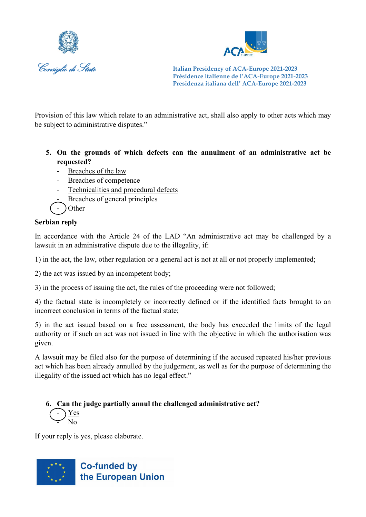



Provision of this law which relate to an administrative act, shall also apply to other acts which may be subject to administrative disputes."

- **5. On the grounds of which defects can the annulment of an administrative act be requested?**
	- Breaches of the law
	- Breaches of competence
	- Technicalities and procedural defects
	- Breaches of general principles
	- Other

## **Serbian reply**

In accordance with the Article 24 of the LAD "An administrative act may be challenged by a lawsuit in an administrative dispute due to the illegality, if:

1) in the act, the law, other regulation or a general act is not at all or not properly implemented;

2) the act was issued by an incompetent body;

3) in the process of issuing the act, the rules of the proceeding were not followed;

4) the factual state is incompletely or incorrectly defined or if the identified facts brought to an incorrect conclusion in terms of the factual state;

5) in the act issued based on a free assessment, the body has exceeded the limits of the legal authority or if such an act was not issued in line with the objective in which the authorisation was given.

A lawsuit may be filed also for the purpose of determining if the accused repeated his/her previous act which has been already annulled by the judgement, as well as for the purpose of determining the illegality of the issued act which has no legal effect."

**6. Can the judge partially annul the challenged administrative act?**   $-\sum$  $\geq$  No

If your reply is yes, please elaborate.

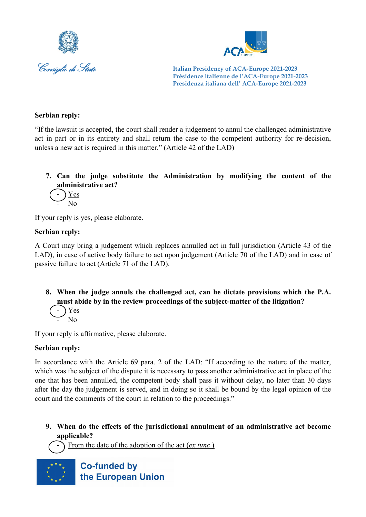



#### **Serbian reply:**

"If the lawsuit is accepted, the court shall render a judgement to annul the challenged administrative act in part or in its entirety and shall return the case to the competent authority for re-decision, unless a new act is required in this matter." (Article 42 of the LAD)

## **7. Can the judge substitute the Administration by modifying the content of the administrative act?**

$$
\bigodot \frac{Yes}{No}
$$

If your reply is yes, please elaborate.

#### **Serbian reply:**

A Court may bring a judgement which replaces annulled act in full jurisdiction (Article 43 of the LAD), in case of active body failure to act upon judgement (Article 70 of the LAD) and in case of passive failure to act (Article 71 of the LAD).

## **8. When the judge annuls the challenged act, can he dictate provisions which the P.A. must abide by in the review proceedings of the subject-matter of the litigation?**

$$
\bigcup_{i=1}^{n} \mathrm{Yes}_{\mathrm{No}}
$$

If your reply is affirmative, please elaborate.

#### **Serbian reply:**

In accordance with the Article 69 para. 2 of the LAD: "If according to the nature of the matter, which was the subject of the dispute it is necessary to pass another administrative act in place of the one that has been annulled, the competent body shall pass it without delay, no later than 30 days after the day the judgement is served, and in doing so it shall be bound by the legal opinion of the court and the comments of the court in relation to the proceedings."

**9. When do the effects of the jurisdictional annulment of an administrative act become applicable?** 

From the date of the adoption of the act (*ex tunc*)

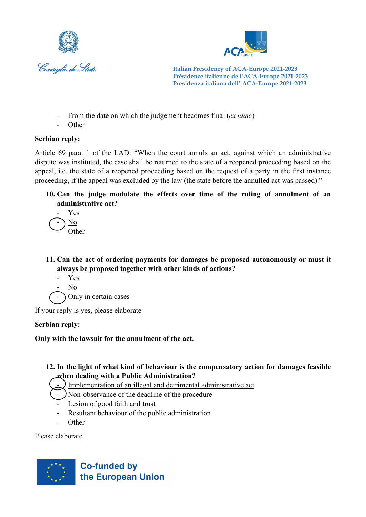



- From the date on which the judgement becomes final (*ex nunc*)
- **Other**

#### **Serbian reply:**

Article 69 para. 1 of the LAD: "When the court annuls an act, against which an administrative dispute was instituted, the case shall be returned to the state of a reopened proceeding based on the appeal, i.e. the state of a reopened proceeding based on the request of a party in the first instance proceeding, if the appeal was excluded by the law (the state before the annulled act was passed)."

**10. Can the judge modulate the effects over time of the ruling of annulment of an administrative act?** 



**11. Can the act of ordering payments for damages be proposed autonomously or must it always be proposed together with other kinds of actions?** 

- Yes
- $N<sub>0</sub>$

) Only in certain cases

If your reply is yes, please elaborate

#### **Serbian reply:**

**Only with the lawsuit for the annulment of the act.**

#### **12. In the light of what kind of behaviour is the compensatory action for damages feasible when dealing with a Public Administration?**

- Implementation of an illegal and detrimental administrative act
- ) Non-observance of the deadline of the procedure
- Lesion of good faith and trust
- Resultant behaviour of the public administration
- **Other**

Please elaborate

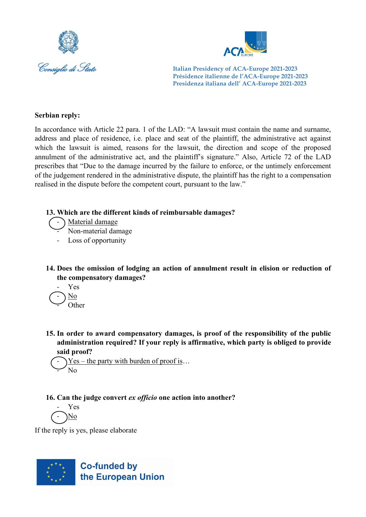



#### **Serbian reply:**

In accordance with Article 22 para. 1 of the LAD: "A lawsuit must contain the name and surname, address and place of residence, i.e. place and seat of the plaintiff, the administrative act against which the lawsuit is aimed, reasons for the lawsuit, the direction and scope of the proposed annulment of the administrative act, and the plaintiff's signature." Also, Article 72 of the LAD prescribes that "Due to the damage incurred by the failure to enforce, or the untimely enforcement of the judgement rendered in the administrative dispute, the plaintiff has the right to a compensation realised in the dispute before the competent court, pursuant to the law."

#### **13. Which are the different kinds of reimbursable damages?**



- Non-material damage

Loss of opportunity

- **14. Does the omission of lodging an action of annulment result in elision or reduction of the compensatory damages?** 
	- Yes - No  $O$ ther
- **15. In order to award compensatory damages, is proof of the responsibility of the public administration required? If your reply is affirmative, which party is obliged to provide said proof?**

 $Yes - the party with burden of proof is...$ N<sub>o</sub>

**16. Can the judge convert** *ex officio* **one action into another?** 

- Yes - No

If the reply is yes, please elaborate

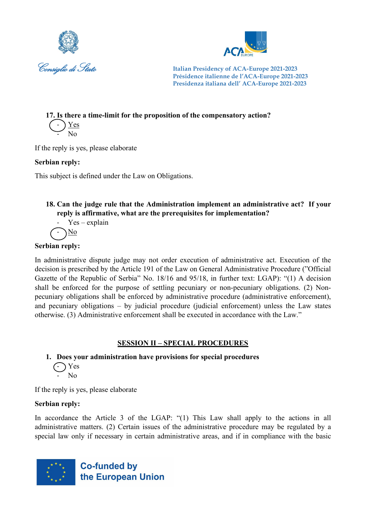



**17. Is there a time-limit for the proposition of the compensatory action?** 

- <u>Yes</u> - No

If the reply is yes, please elaborate

## **Serbian reply:**

This subject is defined under the Law on Obligations.

## **18. Can the judge rule that the Administration implement an administrative act? If your reply is affirmative, what are the prerequisites for implementation?**

- Yes—explain  
-
$$
\sqrt{\frac{No}{2}}
$$

## **Serbian reply:**

In administrative dispute judge may not order execution of administrative act. Execution of the decision is prescribed by the Article 191 of the Law on General Administrative Procedure ("Official Gazette of the Republic of Serbia" No. 18/16 and 95/18, in further text: LGAP): "(1) А decision shall be enforced for the purpose of settling pecuniary or non-pecuniary obligations. (2) Nonpecuniary obligations shall be enforced by administrative procedure (administrative enforcement), and pecuniary obligations – by judicial procedure (judicial enforcement) unless the Law states otherwise. (3) Administrative enforcement shall be executed in accordance with the Law."

## **SESSION II – SPECIAL PROCEDURES**

#### **1. Does your administration have provisions for special procedures**  $(-)$  Yes  $\sim$  No

If the reply is yes, please elaborate

## **Serbian reply:**

In accordance the Article 3 of the LGAP: "(1) This Law shall apply to the actions in all administrative matters. (2) Certain issues of the administrative procedure may be regulated by а special law only if necessary in certain administrative areas, and if in compliance with the basic

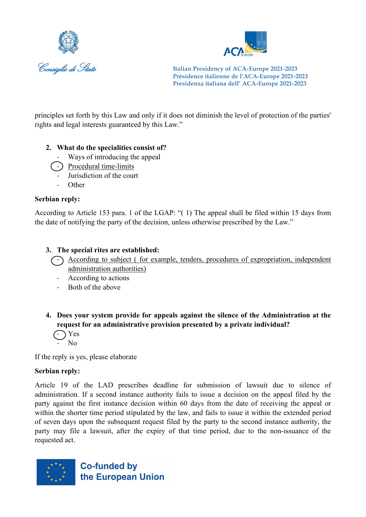



principles set forth by this Law and only if it does not diminish the level of protection of the parties' rights and legal interests guaranteed by this Law."

#### **2. What do the specialities consist of?**

- Ways of introducing the appeal
- ) Procedural time-limits
- Jurisdiction of the court
- **Other**

#### **Serbian reply:**

According to Article 153 para. 1 of the LGAP: "( 1) The appeal shall be filed within 15 days from the date of notifying the party of the decision, unless otherwise prescribed by the Law."

#### **3. The special rites are established:**

- According to subject ( for example, tenders, procedures of expropriation, independent administration authorities)
	- According to actions
	- Both of the above

**4. Does your system provide for appeals against the silence of the Administration at the request for an administrative provision presented by a private individual?**

 $\bigodot$  Yes  $N_0$ 

If the reply is yes, please elaborate

#### **Serbian reply:**

Article 19 of the LAD prescribes deadline for submission of lawsuit due to silence of administration. If a second instance authority fails to issue a decision on the appeal filed by the party against the first instance decision within 60 days from the date of receiving the appeal or within the shorter time period stipulated by the law, and fails to issue it within the extended period of seven days upon the subsequent request filed by the party to the second instance authority, the party may file a lawsuit, after the expiry of that time period, due to the non-issuance of the requested act.

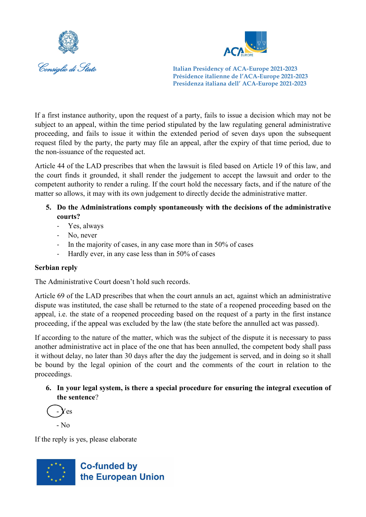



If a first instance authority, upon the request of a party, fails to issue a decision which may not be subject to an appeal, within the time period stipulated by the law regulating general administrative proceeding, and fails to issue it within the extended period of seven days upon the subsequent request filed by the party, the party may file an appeal, after the expiry of that time period, due to the non-issuance of the requested act.

Article 44 of the LAD prescribes that when the lawsuit is filed based on Article 19 of this law, and the court finds it grounded, it shall render the judgement to accept the lawsuit and order to the competent authority to render a ruling. If the court hold the necessary facts, and if the nature of the matter so allows, it may with its own judgement to directly decide the administrative matter.

- **5. Do the Administrations comply spontaneously with the decisions of the administrative courts?**
	- Yes, always
	- No, never
	- In the majority of cases, in any case more than in 50% of cases
	- Hardly ever, in any case less than in 50% of cases

#### **Serbian reply**

The Administrative Court doesn't hold such records.

Article 69 of the LAD prescribes that when the court annuls an act, against which an administrative dispute was instituted, the case shall be returned to the state of a reopened proceeding based on the appeal, i.e. the state of a reopened proceeding based on the request of a party in the first instance proceeding, if the appeal was excluded by the law (the state before the annulled act was passed).

If according to the nature of the matter, which was the subject of the dispute it is necessary to pass another administrative act in place of the one that has been annulled, the competent body shall pass it without delay, no later than 30 days after the day the judgement is served, and in doing so it shall be bound by the legal opinion of the court and the comments of the court in relation to the proceedings.

**6. In your legal system, is there a special procedure for ensuring the integral execution of the sentence**?



If the reply is yes, please elaborate

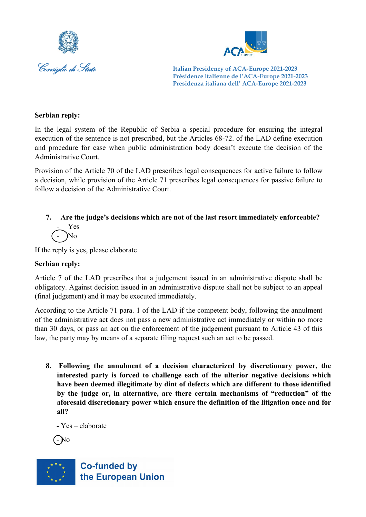



#### **Serbian reply:**

In the legal system of the Republic of Serbia a special procedure for ensuring the integral execution of the sentence is not prescribed, but the Articles 68-72. of the LAD define execution and procedure for case when public administration body doesn't execute the decision of the Administrative Court.

Provision of the Article 70 of the LAD prescribes legal consequences for active failure to follow a decision, while provision of the Article 71 prescribes legal consequences for passive failure to follow a decision of the Administrative Court.

#### **7. Are the judge's decisions which are not of the last resort immediately enforceable?**  - Yes - No

If the reply is yes, please elaborate

#### **Serbian reply:**

Article 7 of the LAD prescribes that a judgement issued in an administrative dispute shall be obligatory. Against decision issued in an administrative dispute shall not be subject to an appeal (final judgement) and it may be executed immediately.

According to the Article 71 para. 1 of the LAD if the competent body, following the annulment of the administrative act does not pass a new administrative act immediately or within no more than 30 days, or pass an act on the enforcement of the judgement pursuant to Article 43 of this law, the party may by means of a separate filing request such an act to be passed.

**8. Following the annulment of a decision characterized by discretionary power, the interested party is forced to challenge each of the ulterior negative decisions which have been deemed illegitimate by dint of defects which are different to those identified by the judge or, in alternative, are there certain mechanisms of "reduction" of the aforesaid discretionary power which ensure the definition of the litigation once and for all?**

- Yes – elaborate



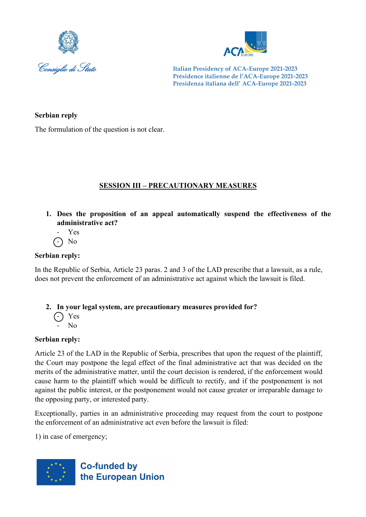



#### **Serbian reply**

The formulation of the question is not clear.

## **SESSION III – PRECAUTIONARY MEASURES**

- **1. Does the proposition of an appeal automatically suspend the effectiveness of the administrative act?** 
	- Yes
	- $\bigcap$  No

## **Serbian reply:**

In the Republic of Serbia, Article 23 paras. 2 and 3 of the LAD prescribe that a lawsuit, as a rule, does not prevent the enforcement of an administrative act against which the lawsuit is filed.

#### **2. In your legal system, are precautionary measures provided for?**

- $\bigcap$  Yes  $\overline{N}$ 
	-

#### **Serbian reply:**

Article 23 of the LAD in the Republic of Serbia, prescribes that upon the request of the plaintiff, the Court may postpone the legal effect of the final administrative act that was decided on the merits of the administrative matter, until the court decision is rendered, if the enforcement would cause harm to the plaintiff which would be difficult to rectify, and if the postponement is not against the public interest, or the postponement would not cause greater or irreparable damage to the opposing party, or interested party.

Exceptionally, parties in an administrative proceeding may request from the court to postpone the enforcement of an administrative act even before the lawsuit is filed:

1) in case of emergency;

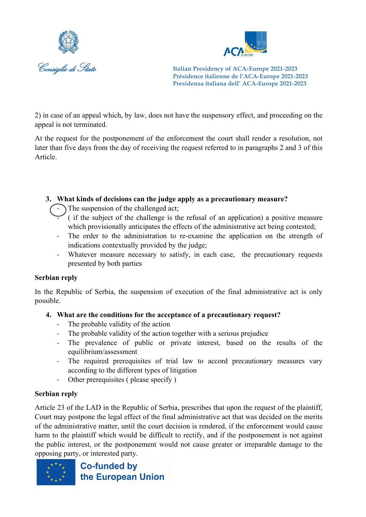



2) in case of an appeal which, by law, does not have the suspensory effect, and proceeding on the appeal is not terminated.

At the request for the postponement of the enforcement the court shall render a resolution, not later than five days from the day of receiving the request referred to in paragraphs 2 and 3 of this Article.

#### **3. What kinds of decisions can the judge apply as a precautionary measure?**

The suspension of the challenged act;

- ( if the subject of the challenge is the refusal of an application) a positive measure which provisionally anticipates the effects of the administrative act being contested;
- The order to the administration to re-examine the application on the strength of indications contextually provided by the judge;
- Whatever measure necessary to satisfy, in each case, the precautionary requests presented by both parties

#### **Serbian reply**

In the Republic of Serbia, the suspension of execution of the final administrative act is only possible.

## **4. What are the conditions for the acceptance of a precautionary request?**

- The probable validity of the action
- The probable validity of the action together with a serious prejudice
- The prevalence of public or private interest, based on the results of the equilibrium/assessment
- The required prerequisites of trial law to accord precautionary measures vary according to the different types of litigation
- Other prerequisites ( please specify )

#### **Serbian reply**

Article 23 of the LAD in the Republic of Serbia, prescribes that upon the request of the plaintiff, Court may postpone the legal effect of the final administrative act that was decided on the merits of the administrative matter, until the court decision is rendered, if the enforcement would cause harm to the plaintiff which would be difficult to rectify, and if the postponement is not against the public interest, or the postponement would not cause greater or irreparable damage to the opposing party, or interested party.

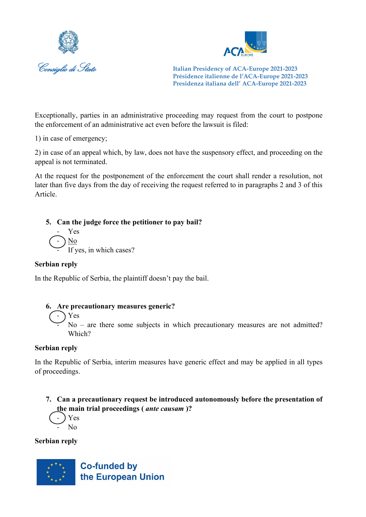



Exceptionally, parties in an administrative proceeding may request from the court to postpone the enforcement of an administrative act even before the lawsuit is filed:

1) in case of emergency;

2) in case of an appeal which, by law, does not have the suspensory effect, and proceeding on the appeal is not terminated.

At the request for the postponement of the enforcement the court shall render a resolution, not later than five days from the day of receiving the request referred to in paragraphs 2 and 3 of this Article.

**5. Can the judge force the petitioner to pay bail?**

- Yes - No  $\frac{100}{11}$  If yes, in which cases?

#### **Serbian reply**

In the Republic of Serbia, the plaintiff doesn't pay the bail.

#### **6. Are precautionary measures generic?**

- Yes

 $No$  – are there some subjects in which precautionary measures are not admitted? Which?

#### **Serbian reply**

In the Republic of Serbia, interim measures have generic effect and may be applied in all types of proceedings.

**7. Can a precautionary request be introduced autonomously before the presentation of the main trial proceedings (** *ante causam* **)?**

$$
\bigcirc \text{Yes}\n\text{No}
$$

#### **Serbian reply**

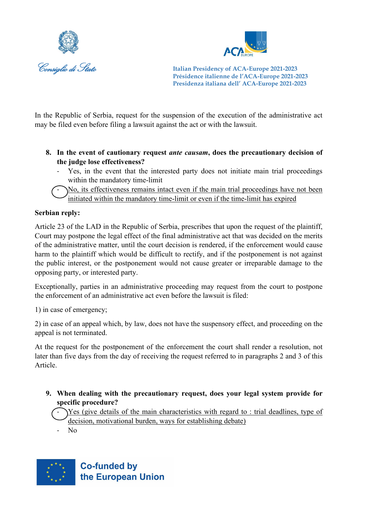



In the Republic of Serbia, request for the suspension of the execution of the administrative act may be filed even before filing a lawsuit against the act or with the lawsuit.

- **8. In the event of cautionary request** *ante causam***, does the precautionary decision of the judge lose effectiveness?**
	- Yes, in the event that the interested party does not initiate main trial proceedings within the mandatory time-limit

- No, its effectiveness remains intact even if the main trial proceedings have not been initiated within the mandatory time-limit or even if the time-limit has expired

#### **Serbian reply:**

Article 23 of the LAD in the Republic of Serbia, prescribes that upon the request of the plaintiff, Court may postpone the legal effect of the final administrative act that was decided on the merits of the administrative matter, until the court decision is rendered, if the enforcement would cause harm to the plaintiff which would be difficult to rectify, and if the postponement is not against the public interest, or the postponement would not cause greater or irreparable damage to the opposing party, or interested party.

Exceptionally, parties in an administrative proceeding may request from the court to postpone the enforcement of an administrative act even before the lawsuit is filed:

1) in case of emergency;

2) in case of an appeal which, by law, does not have the suspensory effect, and proceeding on the appeal is not terminated.

At the request for the postponement of the enforcement the court shall render a resolution, not later than five days from the day of receiving the request referred to in paragraphs 2 and 3 of this Article.

**9. When dealing with the precautionary request, does your legal system provide for specific procedure?** 

Yes (give details of the main characteristics with regard to : trial deadlines, type of decision, motivational burden, ways for establishing debate)

- No

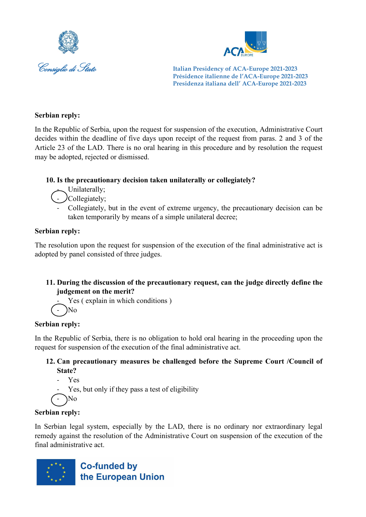



#### **Serbian reply:**

In the Republic of Serbia, upon the request for suspension of the execution, Administrative Court decides within the deadline of five days upon receipt of the request from paras. 2 and 3 of the Article 23 of the LAD. There is no oral hearing in this procedure and by resolution the request may be adopted, rejected or dismissed.

#### **10. Is the precautionary decision taken unilaterally or collegiately?**

- Unilaterally;
- Collegiately;
	- Collegiately, but in the event of extreme urgency, the precautionary decision can be taken temporarily by means of a simple unilateral decree;

#### **Serbian reply:**

The resolution upon the request for suspension of the execution of the final administrative act is adopted by panel consisted of three judges.

#### **11. During the discussion of the precautionary request, can the judge directly define the judgement on the merit?**

Yes (explain in which conditions)

 $)$ No

#### **Serbian reply:**

In the Republic of Serbia, there is no obligation to hold oral hearing in the proceeding upon the request for suspension of the execution of the final administrative act.

#### **12. Can precautionary measures be challenged before the Supreme Court /Council of State?**

- Yes
- Yes, but only if they pass a test of eligibility

$$
(\text{-})\text{No}
$$

#### **Serbian reply:**

In Serbian legal system, especially by the LAD, there is no ordinary nor extraordinary legal remedy against the resolution of the Administrative Court on suspension of the execution of the final administrative act.